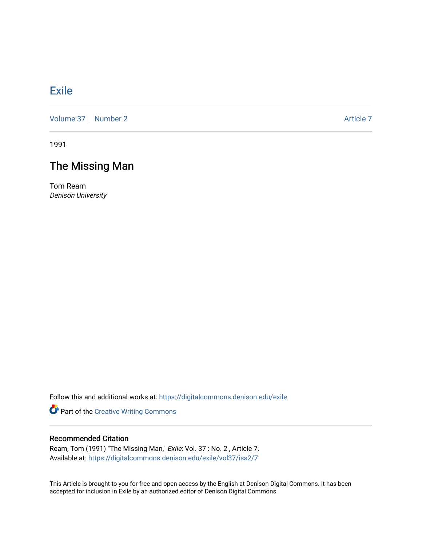## [Exile](https://digitalcommons.denison.edu/exile)

[Volume 37](https://digitalcommons.denison.edu/exile/vol37) | [Number 2](https://digitalcommons.denison.edu/exile/vol37/iss2) Article 7

1991

## The Missing Man

Tom Ream Denison University

Follow this and additional works at: [https://digitalcommons.denison.edu/exile](https://digitalcommons.denison.edu/exile?utm_source=digitalcommons.denison.edu%2Fexile%2Fvol37%2Fiss2%2F7&utm_medium=PDF&utm_campaign=PDFCoverPages) 

Part of the [Creative Writing Commons](http://network.bepress.com/hgg/discipline/574?utm_source=digitalcommons.denison.edu%2Fexile%2Fvol37%2Fiss2%2F7&utm_medium=PDF&utm_campaign=PDFCoverPages) 

## Recommended Citation

Ream, Tom (1991) "The Missing Man," Exile: Vol. 37 : No. 2 , Article 7. Available at: [https://digitalcommons.denison.edu/exile/vol37/iss2/7](https://digitalcommons.denison.edu/exile/vol37/iss2/7?utm_source=digitalcommons.denison.edu%2Fexile%2Fvol37%2Fiss2%2F7&utm_medium=PDF&utm_campaign=PDFCoverPages) 

This Article is brought to you for free and open access by the English at Denison Digital Commons. It has been accepted for inclusion in Exile by an authorized editor of Denison Digital Commons.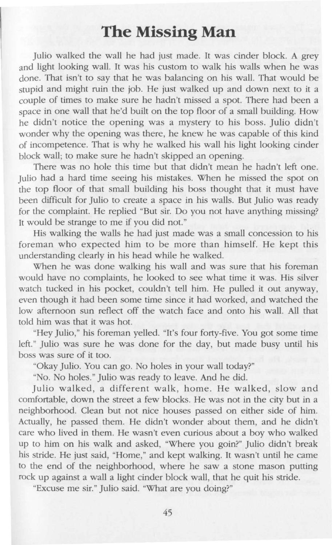## **The Missing Man**

Julio walked the wall he had just made. It was cinder block. A grey and light looking wall. It was his custom to walk his walls when he was done. That isn't to say that he was balancing on his wall. That would be stupid and might ruin the job. He just walked up and down next to it a couple of times to make sure he hadn't missed a spot. There had been a space in one wall that he'd built on the top floor of a small building. How he didn't notice the opening was a mystery to his boss. Julio didn't wonder why the opening was there, he knew he was capable of this kind of incompetence. That is why he walked his wall his light looking cinder block wall; to make sure he hadn't skipped an opening.

There was no hole this time but that didn't mean he hadn't left one. Julio had a hard time seeing his mistakes. When he missed the spot on the top floor of that small building his boss thought that it must have been difficult for Julio to create a space in his walls. But Julio was ready for the complaint. He replied "But sir. Do you not have anything missing? It would be strange to me if you did not."

His walking the walls he had just made was a small concession to his foreman who expected him to be more than himself. He kept this understanding clearly in his head while he walked.

When he was done walking his wall and was sure that his foreman would have no complaints, he looked to see what time it was. His silver watch tucked in his pocket, couldn't tell him. He pulled it out anyway, even though it had been some time since it had worked, and watched the low afternoon sun reflect off the watch face and onto his wall. All that told him was that it was hot.

"Hey Julio," his foreman yelled. "It's four forty-five. You got some time left." Julio was sure he was done for the day, but made busy until his boss was sure of it too.

"Okay Julio. You can go. No holes in your wall today?"

"No. No holes." Julio was ready to leave. And he did.

Julio walked, a different walk, home. He walked, slow and comfortable, down the street a few blocks. He was not in the city but in a neighborhood. Clean but not nice houses passed on either side of him. Actually, he passed them. He didn't wonder about them, and he didn't care who lived in them. He wasn't even curious about a boy who walked up to him on his walk and asked, "Where you goin?" Julio didn't break his stride. He just said, "Home," and kept walking. It wasn't until he came to the end of the neighborhood, where he saw a stone mason putting rock up against a wall a light cinder block wall, that he quit his stride.

"Excuse me sir." Julio said. "What are you doing?"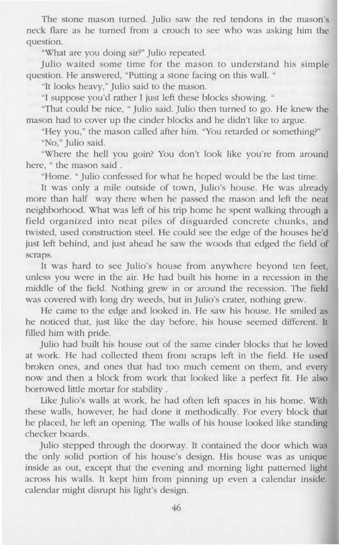The stone mason turned. Julio saw the red tendons in the mason's neck flare as he turned from a crouch to see who was asking him the question.

"What are you doing sir?" Julio repeated.

Julio waited some time for the mason to understand his simple question. He answered, "Putting a stone facing on this wall. "

"It looks heavy," Julio said to the mason.

"I suppose you'd rather I just left these blocks showing. "

"That could be nice, " Julio said. Julio then turned to go. He knew the mason had to cover up the cinder blocks and he didn't like to argue.

"Hey you," the mason called after him. "You retarded or something?"

"No," Julio said.

"Where the hell you goin? You don't look like you're from around here, " the mason said .

"Home. " Julio confessed for what he hoped would be the last time.

It was only a mile outside of town, Julio's house. He was already more than half way there when he passed the mason and left the neat neighborhood. What was left of his trip home he spent walking through a field organized into neat piles of disguarded concrete chunks, and twisted, used construction steel. He could see the edge of the houses he'd just left behind, and just ahead he saw the woods that edged the field of scraps.

It was hard to see Julio's house from anywhere beyond ten feet, unless you were in the air. He had built his home in a recession in the middle of the field. Nothing grew in or around the recession. The field was covered with long dry weeds, but in Julio's crater, nothing grew.

He came to the edge and looked in. He saw his house. He smiled as he noticed that, just like the day before, his house seemed different. It filled him with pride.

Julio had built his house out of the same cinder blocks that he loved at work. He had collected them from scraps left in the field. He used broken ones, and ones that had too much cement on them, and every now and then a block from work that looked like a perfect fit. He also borrowed little mortar for stability .

Like Julio's walls at work, he had often left spaces in his home. With these walls, however, he had done it methodically. For every block that he placed, he left an opening. The walls of his house looked like standing checker boards.

Julio stepped through the doorway. It contained the door which was the only solid portion of his house's design. His house was as unique inside as out, except that the evening and morning light patterned light across his walls. It kept him from pinning up even a calendar inside. calendar might disrupt his light's design.